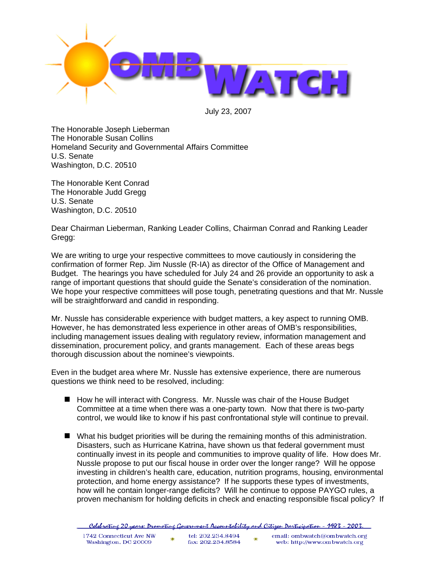

July 23, 2007

The Honorable Joseph Lieberman The Honorable Susan Collins Homeland Security and Governmental Affairs Committee U.S. Senate Washington, D.C. 20510

The Honorable Kent Conrad The Honorable Judd Gregg U.S. Senate Washington, D.C. 20510

Dear Chairman Lieberman, Ranking Leader Collins, Chairman Conrad and Ranking Leader Gregg:

We are writing to urge your respective committees to move cautiously in considering the confirmation of former Rep. Jim Nussle (R-IA) as director of the Office of Management and Budget. The hearings you have scheduled for July 24 and 26 provide an opportunity to ask a range of important questions that should guide the Senate's consideration of the nomination. We hope your respective committees will pose tough, penetrating questions and that Mr. Nussle will be straightforward and candid in responding.

Mr. Nussle has considerable experience with budget matters, a key aspect to running OMB. However, he has demonstrated less experience in other areas of OMB's responsibilities, including management issues dealing with regulatory review, information management and dissemination, procurement policy, and grants management. Each of these areas begs thorough discussion about the nominee's viewpoints.

Even in the budget area where Mr. Nussle has extensive experience, there are numerous questions we think need to be resolved, including:

- How he will interact with Congress. Mr. Nussle was chair of the House Budget Committee at a time when there was a one-party town. Now that there is two-party control, we would like to know if his past confrontational style will continue to prevail.
- What his budget priorities will be during the remaining months of this administration. Disasters, such as Hurricane Katrina, have shown us that federal government must continually invest in its people and communities to improve quality of life. How does Mr. Nussle propose to put our fiscal house in order over the longer range? Will he oppose investing in children's health care, education, nutrition programs, housing, environmental protection, and home energy assistance? If he supports these types of investments, how will he contain longer-range deficits? Will he continue to oppose PAYGO rules, a proven mechanism for holding deficits in check and enacting responsible fiscal policy? If

| . Celebratine 20 years: Dromotine Government Accountability and Citizen Darticipation - 1983 - 2003 |  |  |  |  |
|-----------------------------------------------------------------------------------------------------|--|--|--|--|
|                                                                                                     |  |  |  |  |

| 1742 Connecticut Ave NW | tel: 202.234.8494 | email: ombwatch@ombwatch.org |
|-------------------------|-------------------|------------------------------|
| Washington, DC 20009    | fax: 202.234.8584 | web: http://www.ombwatch.org |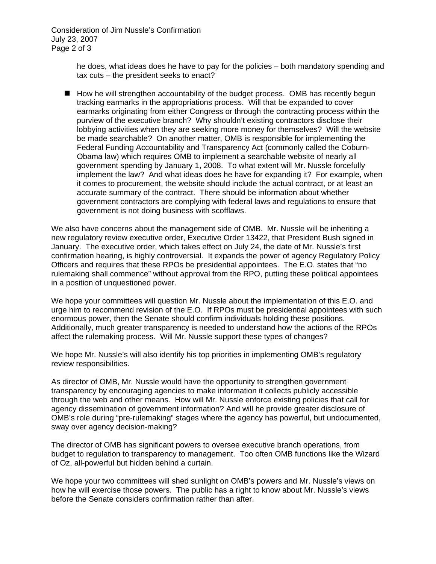Consideration of Jim Nussle's Confirmation July 23, 2007 Page 2 of 3

> he does, what ideas does he have to pay for the policies – both mandatory spending and tax cuts – the president seeks to enact?

 $\blacksquare$  How he will strengthen accountability of the budget process. OMB has recently begun tracking earmarks in the appropriations process. Will that be expanded to cover earmarks originating from either Congress or through the contracting process within the purview of the executive branch? Why shouldn't existing contractors disclose their lobbying activities when they are seeking more money for themselves? Will the website be made searchable? On another matter, OMB is responsible for implementing the Federal Funding Accountability and Transparency Act (commonly called the Coburn-Obama law) which requires OMB to implement a searchable website of nearly all government spending by January 1, 2008. To what extent will Mr. Nussle forcefully implement the law? And what ideas does he have for expanding it? For example, when it comes to procurement, the website should include the actual contract, or at least an accurate summary of the contract. There should be information about whether government contractors are complying with federal laws and regulations to ensure that government is not doing business with scofflaws.

We also have concerns about the management side of OMB. Mr. Nussle will be inheriting a new regulatory review executive order, Executive Order 13422, that President Bush signed in January. The executive order, which takes effect on July 24, the date of Mr. Nussle's first confirmation hearing, is highly controversial. It expands the power of agency Regulatory Policy Officers and requires that these RPOs be presidential appointees. The E.O. states that "no rulemaking shall commence" without approval from the RPO, putting these political appointees in a position of unquestioned power.

We hope your committees will question Mr. Nussle about the implementation of this E.O. and urge him to recommend revision of the E.O. If RPOs must be presidential appointees with such enormous power, then the Senate should confirm individuals holding these positions. Additionally, much greater transparency is needed to understand how the actions of the RPOs affect the rulemaking process. Will Mr. Nussle support these types of changes?

We hope Mr. Nussle's will also identify his top priorities in implementing OMB's regulatory review responsibilities.

As director of OMB, Mr. Nussle would have the opportunity to strengthen government transparency by encouraging agencies to make information it collects publicly accessible through the web and other means. How will Mr. Nussle enforce existing policies that call for agency dissemination of government information? And will he provide greater disclosure of OMB's role during "pre-rulemaking" stages where the agency has powerful, but undocumented, sway over agency decision-making?

The director of OMB has significant powers to oversee executive branch operations, from budget to regulation to transparency to management. Too often OMB functions like the Wizard of Oz, all-powerful but hidden behind a curtain.

We hope your two committees will shed sunlight on OMB's powers and Mr. Nussle's views on how he will exercise those powers. The public has a right to know about Mr. Nussle's views before the Senate considers confirmation rather than after.